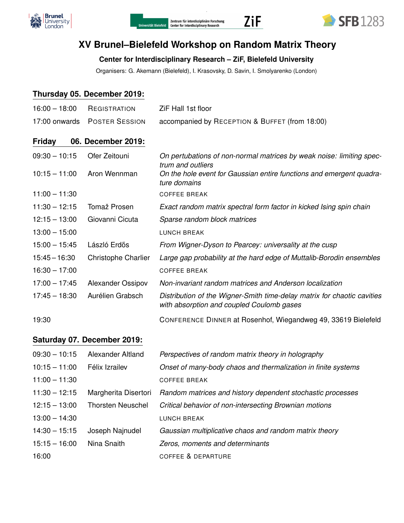





# **XV Brunel–Bielefeld Workshop on Random Matrix Theory**

### **Center for Interdisciplinary Research – ZiF, Bielefeld University**

Organisers: G. Akemann (Bielefeld), I. Krasovsky, D. Savin, I. Smolyarenko (London)

#### **Thursday 05. December 2019:**

| $16:00 - 18:00$ | REGISTRATION               | ZiF Hall 1st floor                                                                                                   |
|-----------------|----------------------------|----------------------------------------------------------------------------------------------------------------------|
| 17:00 onwards   | <b>POSTER SESSION</b>      | accompanied by RECEPTION & BUFFET (from 18:00)                                                                       |
| <b>Friday</b>   | 06. December 2019:         |                                                                                                                      |
| $09:30 - 10:15$ | Ofer Zeitouni              | On pertubations of non-normal matrices by weak noise: limiting spec-                                                 |
| $10:15 - 11:00$ | Aron Wennman               | trum and outliers<br>On the hole event for Gaussian entire functions and emergent quadra-<br>ture domains            |
| $11:00 - 11:30$ |                            | <b>COFFEE BREAK</b>                                                                                                  |
| $11:30 - 12:15$ | Tomaž Prosen               | Exact random matrix spectral form factor in kicked Ising spin chain                                                  |
| $12:15 - 13:00$ | Giovanni Cicuta            | Sparse random block matrices                                                                                         |
| $13:00 - 15:00$ |                            | <b>LUNCH BREAK</b>                                                                                                   |
| $15:00 - 15:45$ | László Erdős               | From Wigner-Dyson to Pearcey: universality at the cusp                                                               |
| $15:45 - 16:30$ | <b>Christophe Charlier</b> | Large gap probability at the hard edge of Muttalib-Borodin ensembles                                                 |
| $16:30 - 17:00$ |                            | <b>COFFEE BREAK</b>                                                                                                  |
| $17:00 - 17:45$ | Alexander Ossipov          | Non-invariant random matrices and Anderson localization                                                              |
| $17:45 - 18:30$ | Aurélien Grabsch           | Distribution of the Wigner-Smith time-delay matrix for chaotic cavities<br>with absorption and coupled Coulomb gases |
| 19:30           |                            | CONFERENCE DINNER at Rosenhof, Wiegandweg 49, 33619 Bielefeld                                                        |

#### **Saturday 07. December 2019:**

| $09:30 - 10:15$ | Alexander Altland        | Perspectives of random matrix theory in holography            |
|-----------------|--------------------------|---------------------------------------------------------------|
| $10:15 - 11:00$ | Félix Izrailev           | Onset of many-body chaos and thermalization in finite systems |
| $11:00 - 11:30$ |                          | <b>COFFEE BREAK</b>                                           |
| $11:30 - 12:15$ | Margherita Disertori     | Random matrices and history dependent stochastic processes    |
| $12:15 - 13:00$ | <b>Thorsten Neuschel</b> | Critical behavior of non-intersecting Brownian motions        |
| $13:00 - 14:30$ |                          | <b>LUNCH BREAK</b>                                            |
| $14:30 - 15:15$ | Joseph Najnudel          | Gaussian multiplicative chaos and random matrix theory        |
| $15:15 - 16:00$ | Nina Snaith              | Zeros, moments and determinants                               |
| 16:00           |                          | <b>COFFEE &amp; DEPARTURE</b>                                 |